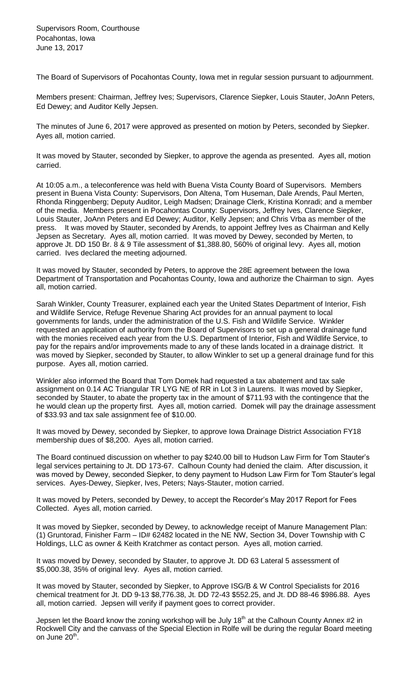The Board of Supervisors of Pocahontas County, Iowa met in regular session pursuant to adjournment.

Members present: Chairman, Jeffrey Ives; Supervisors, Clarence Siepker, Louis Stauter, JoAnn Peters, Ed Dewey; and Auditor Kelly Jepsen.

The minutes of June 6, 2017 were approved as presented on motion by Peters, seconded by Siepker. Ayes all, motion carried.

It was moved by Stauter, seconded by Siepker, to approve the agenda as presented. Ayes all, motion carried.

At 10:05 a.m., a teleconference was held with Buena Vista County Board of Supervisors. Members present in Buena Vista County: Supervisors, Don Altena, Tom Huseman, Dale Arends, Paul Merten, Rhonda Ringgenberg; Deputy Auditor, Leigh Madsen; Drainage Clerk, Kristina Konradi; and a member of the media. Members present in Pocahontas County: Supervisors, Jeffrey Ives, Clarence Siepker, Louis Stauter, JoAnn Peters and Ed Dewey; Auditor, Kelly Jepsen; and Chris Vrba as member of the press. It was moved by Stauter, seconded by Arends, to appoint Jeffrey Ives as Chairman and Kelly Jepsen as Secretary. Ayes all, motion carried. It was moved by Dewey, seconded by Merten, to approve Jt. DD 150 Br. 8 & 9 Tile assessment of \$1,388.80, 560% of original levy. Ayes all, motion carried. Ives declared the meeting adjourned.

It was moved by Stauter, seconded by Peters, to approve the 28E agreement between the Iowa Department of Transportation and Pocahontas County, Iowa and authorize the Chairman to sign. Ayes all, motion carried.

Sarah Winkler, County Treasurer, explained each year the United States Department of Interior, Fish and Wildlife Service, Refuge Revenue Sharing Act provides for an annual payment to local governments for lands, under the administration of the U.S. Fish and Wildlife Service. Winkler requested an application of authority from the Board of Supervisors to set up a general drainage fund with the monies received each year from the U.S. Department of Interior, Fish and Wildlife Service, to pay for the repairs and/or improvements made to any of these lands located in a drainage district. It was moved by Siepker, seconded by Stauter, to allow Winkler to set up a general drainage fund for this purpose. Ayes all, motion carried.

Winkler also informed the Board that Tom Domek had requested a tax abatement and tax sale assignment on 0.14 AC Triangular TR LYG NE of RR in Lot 3 in Laurens. It was moved by Siepker, seconded by Stauter, to abate the property tax in the amount of \$711.93 with the contingence that the he would clean up the property first. Ayes all, motion carried. Domek will pay the drainage assessment of \$33.93 and tax sale assignment fee of \$10.00.

It was moved by Dewey, seconded by Siepker, to approve Iowa Drainage District Association FY18 membership dues of \$8,200. Ayes all, motion carried.

The Board continued discussion on whether to pay \$240.00 bill to Hudson Law Firm for Tom Stauter's legal services pertaining to Jt. DD 173-67. Calhoun County had denied the claim. After discussion, it was moved by Dewey, seconded Siepker, to deny payment to Hudson Law Firm for Tom Stauter's legal services. Ayes-Dewey, Siepker, Ives, Peters; Nays-Stauter, motion carried.

It was moved by Peters, seconded by Dewey, to accept the Recorder's May 2017 Report for Fees Collected. Ayes all, motion carried.

It was moved by Siepker, seconded by Dewey, to acknowledge receipt of Manure Management Plan: (1) Gruntorad, Finisher Farm – ID# 62482 located in the NE NW, Section 34, Dover Township with C Holdings, LLC as owner & Keith Kratchmer as contact person. Ayes all, motion carried.

It was moved by Dewey, seconded by Stauter, to approve Jt. DD 63 Lateral 5 assessment of \$5,000.38, 35% of original levy. Ayes all, motion carried.

It was moved by Stauter, seconded by Siepker, to Approve ISG/B & W Control Specialists for 2016 chemical treatment for Jt. DD 9-13 \$8,776.38, Jt. DD 72-43 \$552.25, and Jt. DD 88-46 \$986.88. Ayes all, motion carried. Jepsen will verify if payment goes to correct provider.

Jepsen let the Board know the zoning workshop will be July 18<sup>th</sup> at the Calhoun County Annex #2 in Rockwell City and the canvass of the Special Election in Rolfe will be during the regular Board meeting on June 20<sup>th</sup>.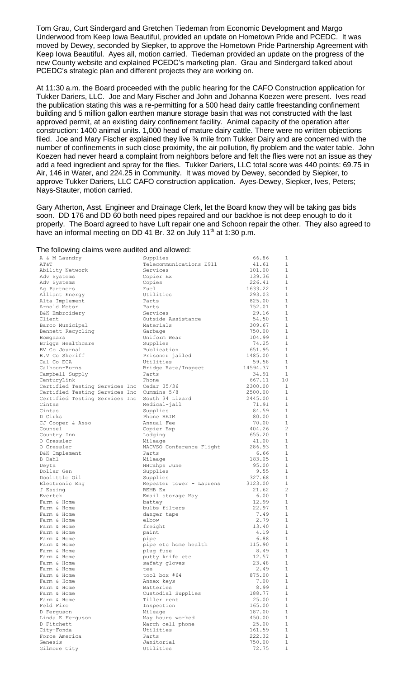Tom Grau, Curt Sindergard and Gretchen Tiedeman from Economic Development and Margo Underwood from Keep Iowa Beautiful, provided an update on Hometown Pride and PCEDC. It was moved by Dewey, seconded by Siepker, to approve the Hometown Pride Partnership Agreement with Keep Iowa Beautiful. Ayes all, motion carried. Tiedeman provided an update on the progress of the new County website and explained PCEDC's marketing plan. Grau and Sindergard talked about PCEDC's strategic plan and different projects they are working on.

At 11:30 a.m. the Board proceeded with the public hearing for the CAFO Construction application for Tukker Dariers, LLC. Joe and Mary Fischer and John and Johanna Koezen were present. Ives read the publication stating this was a re-permitting for a 500 head dairy cattle freestanding confinement building and 5 million gallon earthen manure storage basin that was not constructed with the last approved permit, at an existing dairy confinement facility. Animal capacity of the operation after construction: 1400 animal units. 1,000 head of mature dairy cattle. There were no written objections filed. Joe and Mary Fischer explained they live 3⁄4 mile from Tukker Dairy and are concerned with the number of confinements in such close proximity, the air pollution, fly problem and the water table. John Koezen had never heard a complaint from neighbors before and felt the flies were not an issue as they add a feed ingredient and spray for the flies. Tukker Dariers, LLC total score was 440 points: 69.75 in Air, 146 in Water, and 224.25 in Community. It was moved by Dewey, seconded by Siepker, to approve Tukker Dariers, LLC CAFO construction application. Ayes-Dewey, Siepker, Ives, Peters; Nays-Stauter, motion carried.

Gary Atherton, Asst. Engineer and Drainage Clerk, let the Board know they will be taking gas bids soon. DD 176 and DD 60 both need pipes repaired and our backhoe is not deep enough to do it properly. The Board agreed to have Luft repair one and Schoon repair the other. They also agreed to have an informal meeting on DD 41 Br. 32 on July 11<sup>th</sup> at 1:30 p.m.

The following claims were audited and allowed:

| A & M Laundry                  | Supplies                     | 66.86          | 1              |
|--------------------------------|------------------------------|----------------|----------------|
| AΤ&Τ                           | Telecommunications E911      | 41.61          | 1              |
| Ability Network                | Services                     | 101.00         | 1              |
| Adv Systems                    | Copier Ex                    | 139.36         | $\mathbf{1}$   |
| Adv Systems                    | Copies                       | 226.41         | $\mathbf{1}$   |
| Ag Partners                    | Fuel                         | 1633.22        | $\mathbf{1}$   |
| Alliant Energy                 | Utilities                    | 293.03         | 1              |
| Alta Implement                 | Parts                        | 825.00         | 1              |
| Arnold Motor                   | Parts                        | 752.01         | 1              |
| B&K Embroidery                 | Services                     | 29.16          | $\mathbf{1}$   |
| Client                         | Outside Assistance           | 54.50          | 1              |
| Barco Municipal                | Materials                    | 309.67         | $\mathbf{1}$   |
| Bennett Recycling              | Garbage                      | 750.00         | 1              |
| Bomgaars                       | Uniform Wear                 | 104.99         | $\mathbf{1}$   |
| Briggs Healthcare              | Supplies                     | 74.25          | $\mathbf{1}$   |
| BV Co Journal                  | Publication                  | 651.95         | $\mathbf{1}$   |
| B.V Co Sheriff                 | Prisoner jailed              | 1485.00        | 1              |
| Cal Co ECA                     | Utilities                    | 59.58          | $\mathbf{1}$   |
| Calhoun-Burns                  | Bridge Rate/Inspect          | 14594.37       | $\mathbf{1}$   |
| Campbell Supply                | Parts                        | 34.91          | $\mathbf{1}$   |
| CenturyLink                    | Phone                        | 667.11         | 10             |
| Certified Testing Services Inc | Cedar 35/36                  | 2300.00        | 1              |
| Certified Testing Services Inc | Cummins 5/8                  | 2500.00        | 1              |
| Certified Testing Services Inc | South 34 Lizard              | 2445.00        | $\mathbf{1}$   |
| Cintas                         | Medical-jail                 | 71.91          | 1              |
| Cintas                         | Supplies                     | 84.59          | $\mathbf{1}$   |
| D Cirks                        | Phone REIM                   | 80.00          | 1              |
| CJ Cooper & Asso               | Annual Fee                   | 70.00          | $\mathbf{1}$   |
| Counsel                        | Copier Exp                   | 404.26         | $\overline{c}$ |
| Country Inn                    | Lodging                      | 655.20         | $\mathbf{1}$   |
| 0 Cressler                     | Mileage                      | 41.00          | 1              |
| O Cressler                     | NACVSO Conference Flight     | 286.93         | 1              |
| D&K Implement                  | Parts                        | 6.66           | 1              |
| B Dahl                         | Mileage                      | 183.05         | $\mathbf{1}$   |
| Deyta                          | HHCahps June                 | 95.00          | 1              |
| Dollar Gen                     | Supplies                     | 9.55           | $\mathbf{1}$   |
| Doolittle Oil                  | Supplies                     | 327.68         | 1              |
| Electronic Eng                 | Repeater tower - Laurens     | 3123.00        | $\mathbf{1}$   |
| J Essing                       | REMB Ex                      | 21.62          | $\overline{c}$ |
| Evertek                        | Email storage May            | 6.00           | $\mathbf{1}$   |
| Farm & Home                    | battey                       | 12.99          | $\mathbf{1}$   |
| Farm & Home                    | bulbs filters                | 22.97          | $\mathbf{1}$   |
| Farm & Home                    | danger tape                  | 7.49           | $\mathbf{1}$   |
| Farm & Home                    | elbow                        | 2.79           | $\mathbf{1}$   |
| Farm & Home                    | freight                      | 13.40          | 1              |
| Farm & Home                    | paint                        | 4.19           | 1<br>1         |
| Farm & Home<br>Farm & Home     | pipe<br>pipe etc home health | 6.88<br>115.90 | 1              |
| Farm & Home                    | plug fuse                    | 8.49           | $\mathbf 1$    |
| Farm & Home                    | putty knife etc              | 12.57          | 1              |
| Farm & Home                    | safety gloves                | 23.48          | $\mathbf{1}$   |
| Farm & Home                    | tee                          | 2.49           | 1              |
| Farm & Home                    | tool box #64                 | 875.00         | $\mathbf 1$    |
| Farm & Home                    | Annex keys                   | 7.00           | 1              |
| Farm & Home                    | Batteries                    | 8.99           | $\mathbf 1$    |
| Farm & Home                    | Custodial Supplies           | 188.77         | 1              |
| Farm & Home                    | Tiller rent                  | 25.00          | $\mathbf{1}$   |
| Feld Fire                      | Inspection                   | 165.00         | $\mathbf{1}$   |
| D Ferquson                     | Mileage                      | 187.00         | $\mathbf 1$    |
| Linda E Ferquson               | May hours worked             | 450.00         | 1              |
| D Fitchett                     | March cell phone             | 25.00          | $\mathbf 1$    |
| City-Fonda                     | Utilities                    | 161.59         | $\mathbf{1}$   |
| Force America                  | Parts                        | 222.32         | $\mathbf{1}$   |
| Genesis                        | Janitorial                   | 750.00         | $\mathbf 1$    |
| Gilmore City                   | Utilities                    | 72.75          | $\,1\,$        |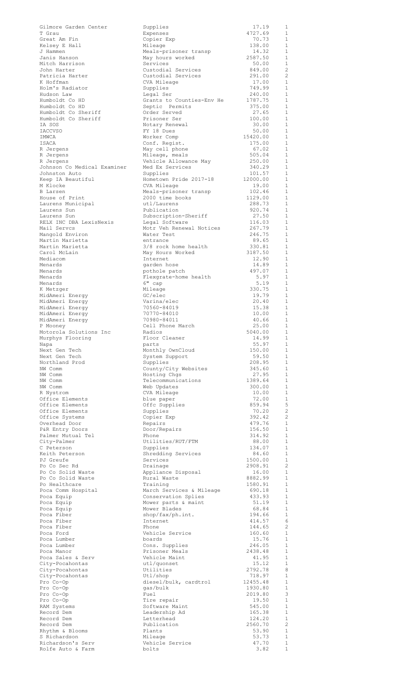|                                          | Supplies                                 | 17.19              | 1                            |
|------------------------------------------|------------------------------------------|--------------------|------------------------------|
| T Grau                                   | Expenses                                 | 4727.69            | 1                            |
| Great Am Fin<br>Kelsey E Hall            | Copier Exp<br>Mileage                    | 70.73<br>138.00    | $\mathbf{1}$<br>$\mathbf{1}$ |
| J Hammen                                 | Meals-prisoner transp                    | 14.32              | $\mathbf{1}$                 |
| Janis Hanson                             | May hours worked                         | 2587.50            | $\mathbf{1}$                 |
| Mitch Harrison                           | Services                                 | 50.00              | $\mathbf{1}$                 |
| John Harter                              | Custodial Services                       | 849.00             | 2                            |
| Patricia Harter                          | Custodial Services                       | 291.00             | 2                            |
| K Hoffman                                | CVA Mileage                              | 17.00              | $\mathbf{1}$                 |
| Holm's Radiator                          | Supplies                                 | 749.99             | 1<br>$\mathbf{1}$            |
| Hudson Law<br>Humboldt Co HD             | Legal Ser<br>Grants to Counties-Env He   | 240.00<br>1787.75  | 1                            |
| Humboldt Co HD                           | Septic Permits                           | 375.00             | $\mathbf{1}$                 |
| Humboldt Co Sheriff                      | Order Served                             | 27.65              | 1                            |
| Humboldt Co Sheriff                      | Prisoner Ser                             | 100.00             | 1                            |
| IA SOS                                   | Notary Renewal                           | 30.00              | $\mathbf{1}$                 |
| <b>IACCVSO</b>                           | FY 18 Dues                               | 50.00              | 1                            |
| IMWCA                                    | Worker Comp                              | 15420.00           | $\mathbf{1}$                 |
| ISACA                                    | Conf. Regist.                            | 175.00             | 1                            |
| R Jergens                                | May cell phone                           | 67.02              | 1                            |
| R Jergens                                | Mileage, meals                           | 505.04             | 1                            |
| R Jergens<br>Johnson Co Medical Examiner | Vehicle Allowance May<br>Med Ex Services | 250.00<br>340.29   | $\mathbf{1}$<br>$\mathbf{1}$ |
| Johnston Auto                            | Supplies                                 | 101.57             | $\mathbf{1}$                 |
| Keep IA Beautiful                        | Hometown Pride 2017-18                   | 12000.00           | $\mathbf{1}$                 |
| M Klocke                                 | CVA Mileage                              | 19.00              | $\mathbf{1}$                 |
| <b>B</b> Larsen                          | Meals-prisoner transp                    | 102.46             | $\mathbf{1}$                 |
| House of Print                           | 2000 time books                          | 1129.00            | $\mathbf{1}$                 |
| Laurens Municipal                        | utl/Laurens                              | 288.73             | $\mathbf{1}$                 |
| Laurens Sun                              | Publication                              | 920.74             | $\mathbf{1}$                 |
| Laurens Sun                              | Subscription-Sheriff                     | 27.50              | $\mathbf{1}$                 |
| RELX INC DBA LexisNexis                  | Legal Software                           | 116.03             | $\mathbf{1}$                 |
| Mail Servcs                              | Motr Veh Renewal Notices                 | 267.79<br>246.75   | $\mathbf{1}$<br>$\mathbf{1}$ |
| Mangold Environ<br>Martin Marietta       | Water Test<br>entrance                   | 89.65              | $\mathbf{1}$                 |
| Martin Marietta                          | 3/8 rock home health                     | 330.81             | $\mathbf{1}$                 |
| Carol McLain                             | May Hours Worked                         | 3187.50            | $\mathbf{1}$                 |
| Mediacom                                 | Internet                                 | 12.90              | $\mathbf{1}$                 |
| Menards                                  | garden hose                              | 14.89              | 1                            |
| Menards                                  | pothole patch                            | 497.07             | $\mathbf{1}$                 |
| Menards                                  | Flexgrate-home health                    | 5.97               | $\mathbf{1}$                 |
| Menards                                  | 6" cap                                   | 5.19               | $\mathbf{1}$                 |
| K Metzger                                | Mileage                                  | 330.75             | 1                            |
| MidAmeri Energy                          | GC/elec                                  | 19.79              | $\mathbf{1}$                 |
| MidAmeri Energy                          | Varina/elec<br>70560-84019               | 20.40              | $\mathbf{1}$<br>1            |
| MidAmeri Energy<br>MidAmeri Energy       | 70770-84010                              | 15.38<br>10.00     | $\mathbf{1}$                 |
| MidAmeri Energy                          | 70980-84011                              | 40.66              | 1                            |
| P Mooney                                 | Cell Phone March                         | 25.00              | $\mathbf{1}$                 |
| Motorola Solutions Inc                   | Radios                                   | 5040.00            | 1                            |
| Murphys Flooring                         | Floor Cleaner                            | 14.99              | <sup>1</sup>                 |
| Napa                                     | parts                                    | 55.97              | 1                            |
| Next Gen Tech                            | Monthly OwnCloud                         | 150.00             | 1                            |
| Next Gen Tech                            | System Support                           | 59.50              | 1                            |
| Northland Prod                           | Supplies                                 | 208.95             | $\mathbf{1}$                 |
| NW Comm                                  | County/City Websites                     | 345.60             | 1                            |
| NW Comm<br>NW Comm                       | Hosting Chgs<br>Telecommunications       | 27.95<br>1389.64   | 1<br>1                       |
| NW Comm                                  | Web Updates                              | 300.00             | 1                            |
| R Nystrom                                | CVA Mileage                              | 10.00              | 1                            |
| Office Elements                          | blue paper                               | 72.00              | 1                            |
| Office Elements                          | Offc Supplies                            | 859.94             | 5                            |
| Office Elements                          | Supplies                                 | 70.20              | 2                            |
| Office Systems                           | Copier Exp                               | 392.42             | 2                            |
| Overhead Door                            | Repairs                                  | 479.76             | $\mathbf{1}$                 |
| P&R Entry Doors                          | Door/Repairs                             | 156.50             | 1                            |
| Palmer Mutual Tel<br>City-Palmer         | Phone<br>Utilities/RUT/FTM               | 314.92<br>88.00    | 1                            |
|                                          |                                          |                    |                              |
|                                          |                                          |                    | $\mathbf{1}$                 |
| C Peterson                               | Supplies                                 | 134.07             | 1                            |
| Keith Peterson<br>PJ Greufe              | Shredding Services<br>Services           | 84.60<br>1500.00   | <sup>1</sup><br>1            |
| Po Co Sec Rd                             | Drainage                                 | 2908.91            | 2                            |
| Po Co Solid Waste                        | Appliance Disposal                       | 16.00              | 1                            |
| Po Co Solid Waste                        | Rural Waste                              | 8882.99            | 1                            |
| Po Healthcare                            | Training                                 | 1580.91            | 1                            |
| Poca Comm Hospital                       | March Services & Mileage                 | 690.18             | 1                            |
| Poca Equip                               | Conservation Splies                      | 433.93             | 1                            |
| Poca Equip                               | Mower parts & maint                      | 51.19              | 1                            |
| Poca Equip                               | Mower Blades                             | 68.84              | $\mathbf{1}$                 |
| Poca Fiber<br>Poca Fiber                 | $\text{shop/fax/ph.int.}$<br>Internet    | 194.66<br>414.57   | 1<br>6                       |
| Poca Fiber                               | Phone                                    | 144.65             | 2                            |
| Poca Ford                                | Vehicle Service                          | 160.60             | 1                            |
| Poca Lumber                              | boards                                   | 15.76              | 1                            |
| Poca Lumber                              | Cons. Supplies                           | 246.05             | 1                            |
| Poca Manor                               | Prisoner Meals                           | 2438.48            | 1                            |
| Poca Sales & Serv                        | Vehicle Maint                            | 41.95              | $\mathbf{1}$                 |
| City-Pocahontas                          | utl/quonset                              | 15.12              | 1                            |
| City-Pocahontas                          | Utilities                                | 2792.78            | 8<br>1                       |
| City-Pocahontas<br>Pro Co-Op             | Utl/shop                                 | 718.97<br>12455.48 | 1                            |
| Pro Co-Op                                | diesel/bulk, cardtrol<br>qas/bulk        | 1930.80            | 1                            |
| Pro Co-Op                                | Fuel                                     | 2019.80            | 3                            |
| Pro Co-Op                                | Tire repair                              | 19.50              | 1                            |
| RAM Systems                              | Software Maint                           | 545.00             | 1                            |
| Record Dem                               | Leadership Ad                            | 165.38             | 1                            |
| Record Dem                               | Letterhead                               | 124.20             | 1                            |
| Record Dem                               | Publication                              | 2560.70            | 2                            |
| Rhythm & Blooms                          | Plants                                   | 53.90              | $\mathbf{1}$                 |
| S Richardson<br>Richardson's Serv        | Mileage<br>Vehicle Service               | 53.73<br>47.70     | $\mathbf{1}$<br>$\mathbf{1}$ |